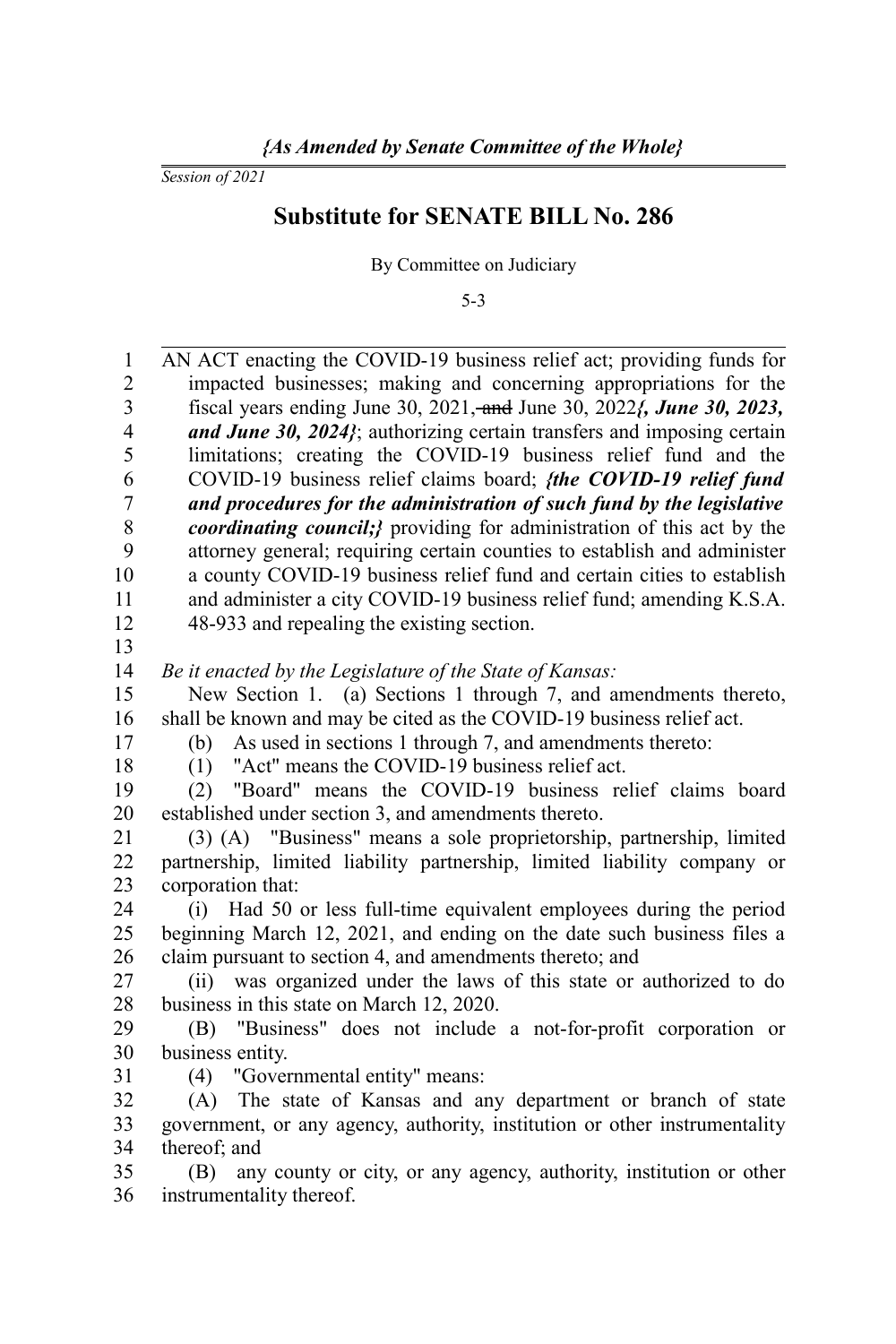*Session of 2021*

## **Substitute for SENATE BILL No. 286**

By Committee on Judiciary

5-3

| $\mathbf{1}$            | AN ACT enacting the COVID-19 business relief act; providing funds for          |
|-------------------------|--------------------------------------------------------------------------------|
| $\overline{c}$          | impacted businesses; making and concerning appropriations for the              |
| $\overline{\mathbf{3}}$ | fiscal years ending June 30, 2021, and June 30, 2022 <i>f</i> , June 30, 2023, |
| $\overline{4}$          | and June 30, 2024}; authorizing certain transfers and imposing certain         |
| 5                       | limitations; creating the COVID-19 business relief fund and the                |
| 6                       | COVID-19 business relief claims board; <i>{the COVID-19 relief fund</i>        |
| $\boldsymbol{7}$        | and procedures for the administration of such fund by the legislative          |
| 8                       | <i>coordinating council;}</i> providing for administration of this act by the  |
| 9                       | attorney general; requiring certain counties to establish and administer       |
| 10                      | a county COVID-19 business relief fund and certain cities to establish         |
| 11                      | and administer a city COVID-19 business relief fund; amending K.S.A.           |
| 12                      | 48-933 and repealing the existing section.                                     |
| 13                      |                                                                                |
| 14                      | Be it enacted by the Legislature of the State of Kansas:                       |
| 15                      | New Section 1. (a) Sections 1 through 7, and amendments thereto,               |
| 16                      | shall be known and may be cited as the COVID-19 business relief act.           |
| 17                      | As used in sections 1 through 7, and amendments thereto:<br>(b)                |
| 18                      | "Act" means the COVID-19 business relief act.<br>(1)                           |
| 19                      | "Board" means the COVID-19 business relief claims board<br>(2)                 |
| 20                      | established under section 3, and amendments thereto.                           |
| 21                      | (3) (A) "Business" means a sole proprietorship, partnership, limited           |
| 22                      | partnership, limited liability partnership, limited liability company or       |
| 23                      | corporation that:                                                              |
| 24                      | (i) Had 50 or less full-time equivalent employees during the period            |
| 25                      | beginning March 12, 2021, and ending on the date such business files a         |
| 26                      | claim pursuant to section 4, and amendments thereto; and                       |
| 27                      | (ii) was organized under the laws of this state or authorized to do            |
| 28                      | business in this state on March 12, 2020.                                      |
| 29                      | "Business" does not include a not-for-profit corporation or<br>(B)             |
| 30                      | business entity.                                                               |
| 31                      | (4) "Governmental entity" means:                                               |
| 32                      | (A) The state of Kansas and any department or branch of state                  |
| 33                      | government, or any agency, authority, institution or other instrumentality     |
| 34                      | thereof; and                                                                   |
| 35                      | any county or city, or any agency, authority, institution or other<br>(B)      |
| 36                      | instrumentality thereof.                                                       |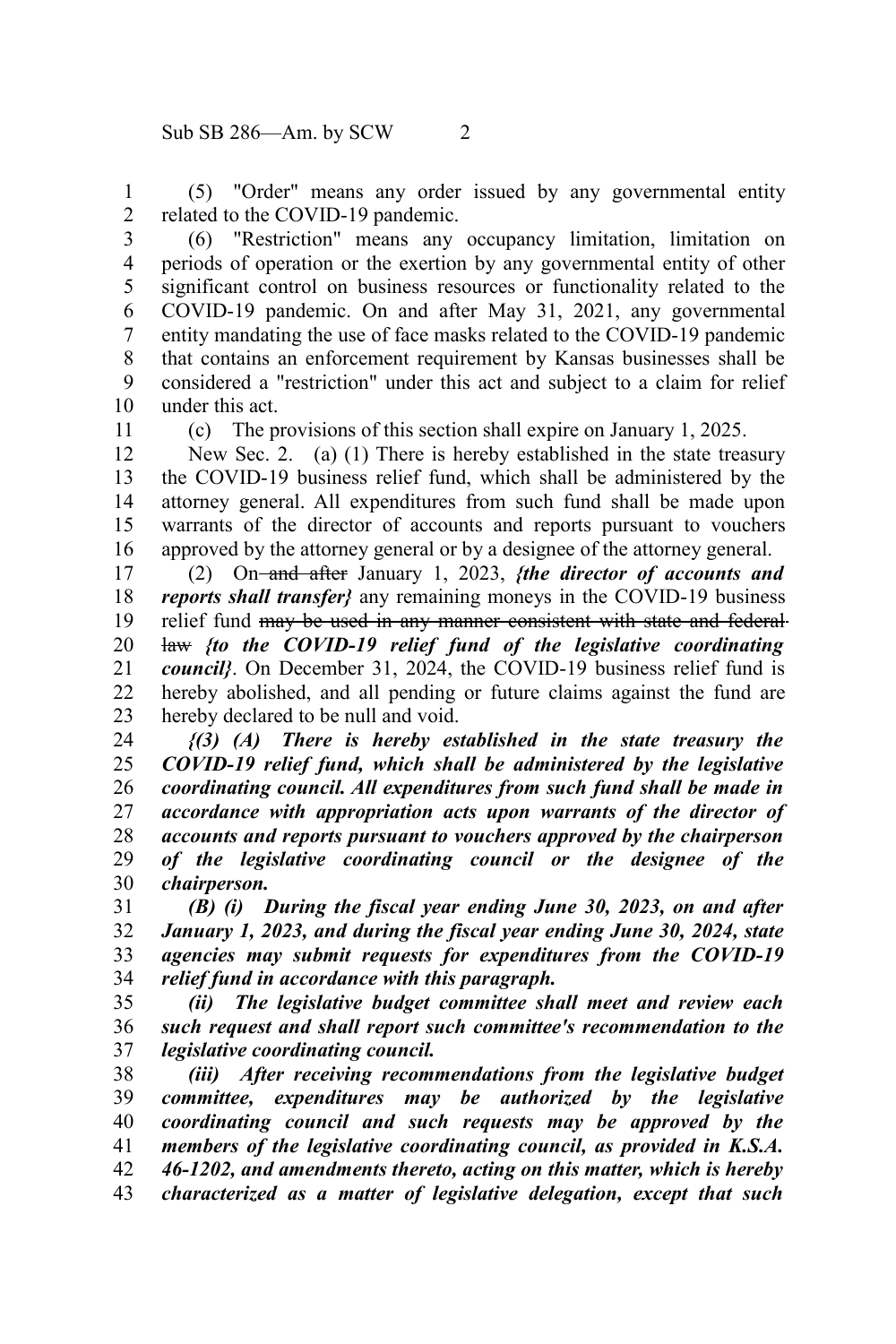(5) "Order" means any order issued by any governmental entity related to the COVID-19 pandemic. 1 2

3

(6) "Restriction" means any occupancy limitation, limitation on periods of operation or the exertion by any governmental entity of other significant control on business resources or functionality related to the COVID-19 pandemic. On and after May 31, 2021, any governmental entity mandating the use of face masks related to the COVID-19 pandemic that contains an enforcement requirement by Kansas businesses shall be considered a "restriction" under this act and subject to a claim for relief under this act. 4 5 6 7 8 9 10

11

(c) The provisions of this section shall expire on January 1, 2025.

New Sec. 2. (a) (1) There is hereby established in the state treasury the COVID-19 business relief fund, which shall be administered by the attorney general. All expenditures from such fund shall be made upon warrants of the director of accounts and reports pursuant to vouchers approved by the attorney general or by a designee of the attorney general. 12 13 14 15 16

(2) On and after January 1, 2023, *{the director of accounts and reports shall transfer}* any remaining moneys in the COVID-19 business relief fund may be used in any manner consistent with state and federal law *{to the COVID-19 relief fund of the legislative coordinating council}*. On December 31, 2024, the COVID-19 business relief fund is hereby abolished, and all pending or future claims against the fund are hereby declared to be null and void. 17 18 19 20 21 22 23

*{(3) (A) There is hereby established in the state treasury the COVID-19 relief fund, which shall be administered by the legislative coordinating council. All expenditures from such fund shall be made in accordance with appropriation acts upon warrants of the director of accounts and reports pursuant to vouchers approved by the chairperson of the legislative coordinating council or the designee of the chairperson.* 24 25 26 27 28 29 30

*(B) (i) During the fiscal year ending June 30, 2023, on and after January 1, 2023, and during the fiscal year ending June 30, 2024, state agencies may submit requests for expenditures from the COVID-19 relief fund in accordance with this paragraph.*  31 32 33 34

*(ii) The legislative budget committee shall meet and review each such request and shall report such committee's recommendation to the legislative coordinating council.*  35 36 37

*(iii) After receiving recommendations from the legislative budget committee, expenditures may be authorized by the legislative coordinating council and such requests may be approved by the members of the legislative coordinating council, as provided in K.S.A. 46-1202, and amendments thereto, acting on this matter, which is hereby characterized as a matter of legislative delegation, except that such* 38 39 40 41 42 43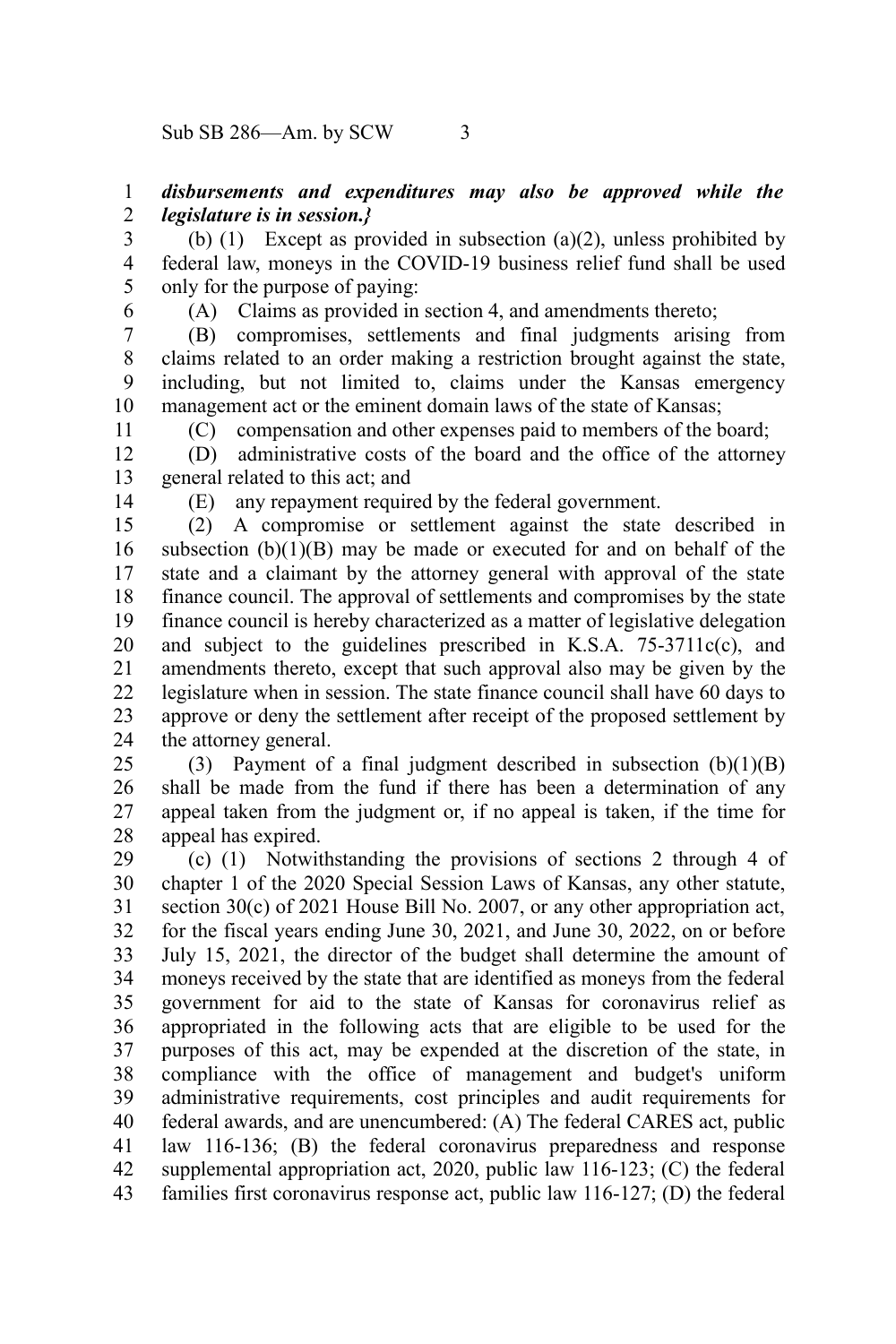## *disbursements and expenditures may also be approved while the legislature is in session.}* 1 2

(b) (1) Except as provided in subsection (a)(2), unless prohibited by federal law, moneys in the COVID-19 business relief fund shall be used only for the purpose of paying: 3 4 5

6

(A) Claims as provided in section 4, and amendments thereto;

(B) compromises, settlements and final judgments arising from claims related to an order making a restriction brought against the state, including, but not limited to, claims under the Kansas emergency management act or the eminent domain laws of the state of Kansas; 7 8 9 10

(C) compensation and other expenses paid to members of the board;

(D) administrative costs of the board and the office of the attorney general related to this act; and 12 13

14

11

(E) any repayment required by the federal government.

(2) A compromise or settlement against the state described in subsection  $(b)(1)(B)$  may be made or executed for and on behalf of the state and a claimant by the attorney general with approval of the state finance council. The approval of settlements and compromises by the state finance council is hereby characterized as a matter of legislative delegation and subject to the guidelines prescribed in K.S.A. 75-3711c(c), and amendments thereto, except that such approval also may be given by the legislature when in session. The state finance council shall have 60 days to approve or deny the settlement after receipt of the proposed settlement by the attorney general. 15 16 17 18 19 20 21 22 23 24

(3) Payment of a final judgment described in subsection  $(b)(1)(B)$ shall be made from the fund if there has been a determination of any appeal taken from the judgment or, if no appeal is taken, if the time for appeal has expired. 25 26 27 28

(c) (1) Notwithstanding the provisions of sections 2 through 4 of chapter 1 of the 2020 Special Session Laws of Kansas, any other statute, section 30(c) of 2021 House Bill No. 2007, or any other appropriation act, for the fiscal years ending June 30, 2021, and June 30, 2022, on or before July 15, 2021, the director of the budget shall determine the amount of moneys received by the state that are identified as moneys from the federal government for aid to the state of Kansas for coronavirus relief as appropriated in the following acts that are eligible to be used for the purposes of this act, may be expended at the discretion of the state, in compliance with the office of management and budget's uniform administrative requirements, cost principles and audit requirements for federal awards, and are unencumbered: (A) The federal CARES act, public law 116-136; (B) the federal coronavirus preparedness and response supplemental appropriation act, 2020, public law 116-123; (C) the federal families first coronavirus response act, public law 116-127; (D) the federal 29 30 31 32 33 34 35 36 37 38 39 40 41 42 43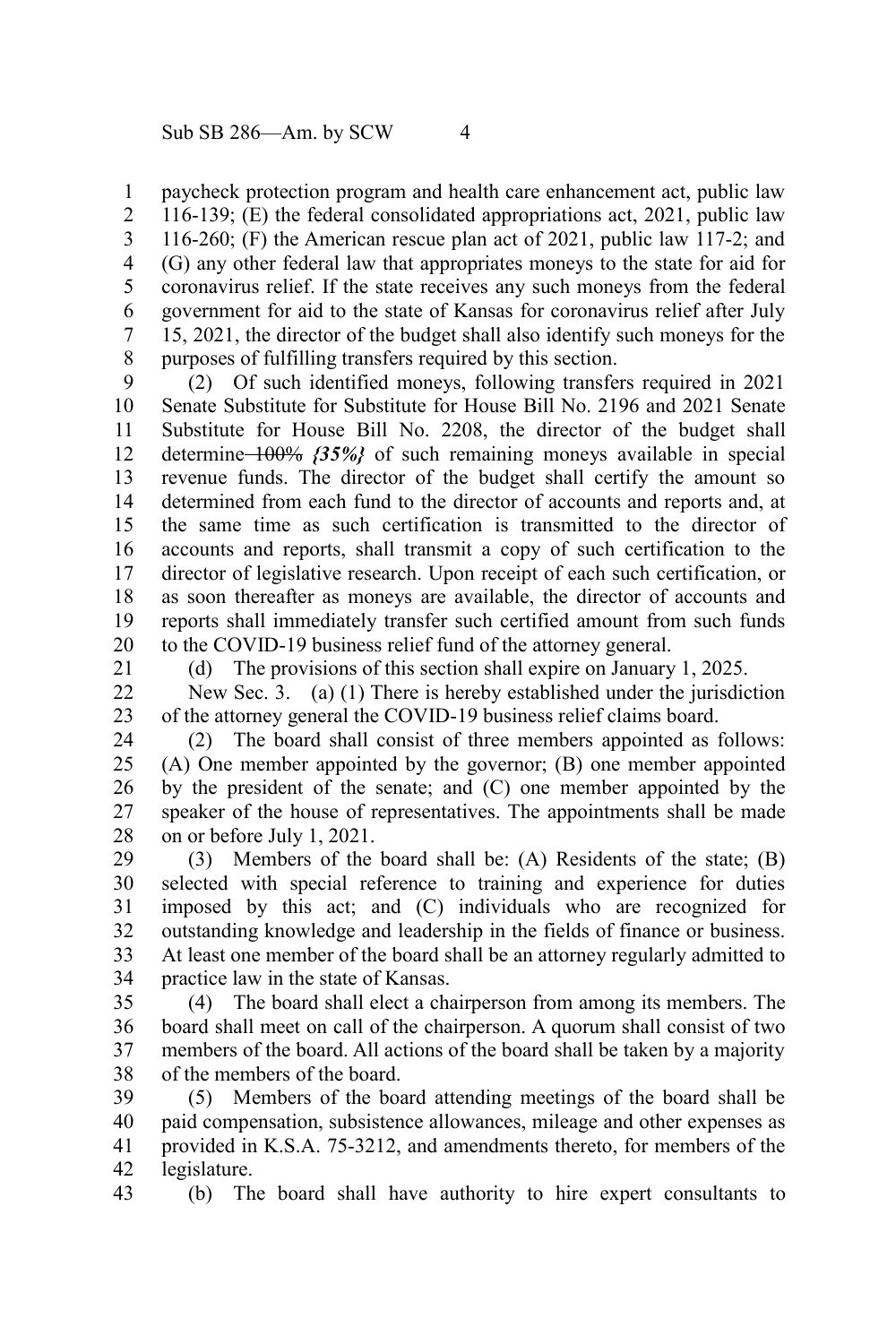paycheck protection program and health care enhancement act, public law 116-139; (E) the federal consolidated appropriations act, 2021, public law 116-260; (F) the American rescue plan act of 2021, public law 117-2; and (G) any other federal law that appropriates moneys to the state for aid for coronavirus relief. If the state receives any such moneys from the federal government for aid to the state of Kansas for coronavirus relief after July 15, 2021, the director of the budget shall also identify such moneys for the purposes of fulfilling transfers required by this section. 1 2 3 4 5 6 7 8

(2) Of such identified moneys, following transfers required in 2021 Senate Substitute for Substitute for House Bill No. 2196 and 2021 Senate Substitute for House Bill No. 2208, the director of the budget shall determine 100% *{35%}* of such remaining moneys available in special revenue funds. The director of the budget shall certify the amount so determined from each fund to the director of accounts and reports and, at the same time as such certification is transmitted to the director of accounts and reports, shall transmit a copy of such certification to the director of legislative research. Upon receipt of each such certification, or as soon thereafter as moneys are available, the director of accounts and reports shall immediately transfer such certified amount from such funds to the COVID-19 business relief fund of the attorney general. 9 10 11 12 13 14 15 16 17 18 19 20

21

(d) The provisions of this section shall expire on January 1, 2025.

New Sec. 3. (a) (1) There is hereby established under the jurisdiction of the attorney general the COVID-19 business relief claims board. 22 23

(2) The board shall consist of three members appointed as follows: (A) One member appointed by the governor; (B) one member appointed by the president of the senate; and (C) one member appointed by the speaker of the house of representatives. The appointments shall be made on or before July 1, 2021. 24 25 26 27 28

(3) Members of the board shall be: (A) Residents of the state; (B) selected with special reference to training and experience for duties imposed by this act; and (C) individuals who are recognized for outstanding knowledge and leadership in the fields of finance or business. At least one member of the board shall be an attorney regularly admitted to practice law in the state of Kansas. 29 30 31 32 33 34

(4) The board shall elect a chairperson from among its members. The board shall meet on call of the chairperson. A quorum shall consist of two members of the board. All actions of the board shall be taken by a majority of the members of the board. 35 36 37 38

(5) Members of the board attending meetings of the board shall be paid compensation, subsistence allowances, mileage and other expenses as provided in K.S.A. 75-3212, and amendments thereto, for members of the legislature. 39 40 41 42

(b) The board shall have authority to hire expert consultants to 43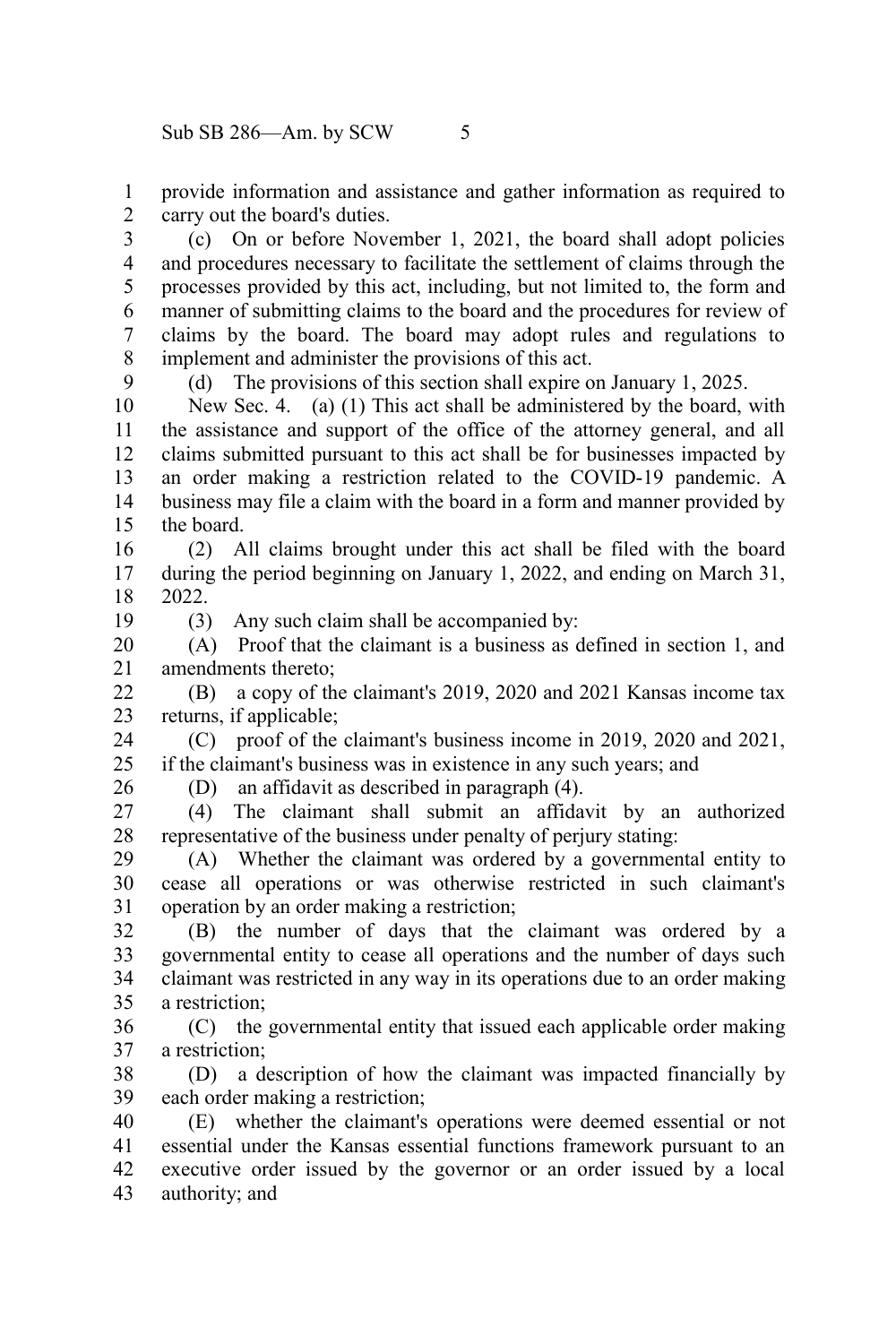provide information and assistance and gather information as required to carry out the board's duties. 1 2

(c) On or before November 1, 2021, the board shall adopt policies and procedures necessary to facilitate the settlement of claims through the processes provided by this act, including, but not limited to, the form and manner of submitting claims to the board and the procedures for review of claims by the board. The board may adopt rules and regulations to implement and administer the provisions of this act. 3 4 5 6 7 8

(d) The provisions of this section shall expire on January 1, 2025.

New Sec. 4. (a) (1) This act shall be administered by the board, with the assistance and support of the office of the attorney general, and all claims submitted pursuant to this act shall be for businesses impacted by an order making a restriction related to the COVID-19 pandemic. A business may file a claim with the board in a form and manner provided by the board. 10 11 12 13 14 15

(2) All claims brought under this act shall be filed with the board during the period beginning on January 1, 2022, and ending on March 31, 2022. 16 17 18

19

 $\mathbf{Q}$ 

(3) Any such claim shall be accompanied by:

(A) Proof that the claimant is a business as defined in section 1, and amendments thereto; 20 21

(B) a copy of the claimant's 2019, 2020 and 2021 Kansas income tax returns, if applicable;  $22$ 23

(C) proof of the claimant's business income in 2019, 2020 and 2021, if the claimant's business was in existence in any such years; and 24  $25$ 

26

(D) an affidavit as described in paragraph (4).

(4) The claimant shall submit an affidavit by an authorized representative of the business under penalty of perjury stating: 27 28

(A) Whether the claimant was ordered by a governmental entity to cease all operations or was otherwise restricted in such claimant's operation by an order making a restriction; 29 30 31

(B) the number of days that the claimant was ordered by a governmental entity to cease all operations and the number of days such claimant was restricted in any way in its operations due to an order making a restriction; 32 33 34 35

(C) the governmental entity that issued each applicable order making a restriction; 36 37

(D) a description of how the claimant was impacted financially by each order making a restriction; 38 39

(E) whether the claimant's operations were deemed essential or not essential under the Kansas essential functions framework pursuant to an executive order issued by the governor or an order issued by a local authority; and 40 41 42 43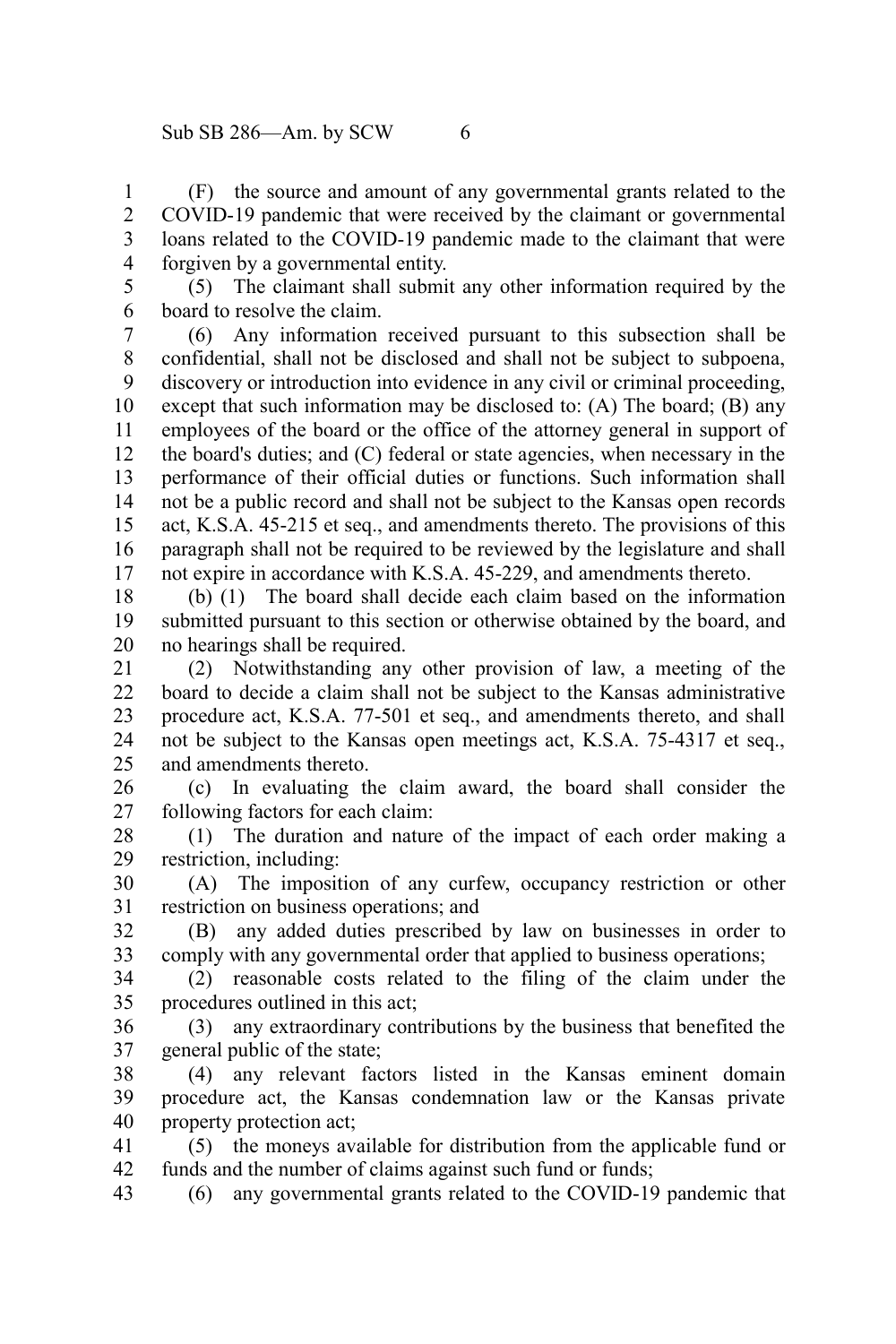(F) the source and amount of any governmental grants related to the COVID-19 pandemic that were received by the claimant or governmental loans related to the COVID-19 pandemic made to the claimant that were forgiven by a governmental entity. 1 2 3 4

(5) The claimant shall submit any other information required by the board to resolve the claim. 5 6

(6) Any information received pursuant to this subsection shall be confidential, shall not be disclosed and shall not be subject to subpoena, discovery or introduction into evidence in any civil or criminal proceeding, except that such information may be disclosed to: (A) The board; (B) any employees of the board or the office of the attorney general in support of the board's duties; and (C) federal or state agencies, when necessary in the performance of their official duties or functions. Such information shall not be a public record and shall not be subject to the Kansas open records act, K.S.A. 45-215 et seq., and amendments thereto. The provisions of this paragraph shall not be required to be reviewed by the legislature and shall not expire in accordance with K.S.A. 45-229, and amendments thereto. 7 8 9 10 11 12 13 14 15 16 17

(b) (1) The board shall decide each claim based on the information submitted pursuant to this section or otherwise obtained by the board, and no hearings shall be required. 18 19 20

(2) Notwithstanding any other provision of law, a meeting of the board to decide a claim shall not be subject to the Kansas administrative procedure act, K.S.A. 77-501 et seq., and amendments thereto, and shall not be subject to the Kansas open meetings act, K.S.A. 75-4317 et seq., and amendments thereto. 21 22 23 24 25

(c) In evaluating the claim award, the board shall consider the following factors for each claim: 26 27

(1) The duration and nature of the impact of each order making a restriction, including: 28 29

(A) The imposition of any curfew, occupancy restriction or other restriction on business operations; and 30 31

(B) any added duties prescribed by law on businesses in order to comply with any governmental order that applied to business operations; 32 33

(2) reasonable costs related to the filing of the claim under the procedures outlined in this act; 34 35

(3) any extraordinary contributions by the business that benefited the general public of the state; 36 37

(4) any relevant factors listed in the Kansas eminent domain procedure act, the Kansas condemnation law or the Kansas private property protection act; 38 39 40

(5) the moneys available for distribution from the applicable fund or funds and the number of claims against such fund or funds; 41 42

(6) any governmental grants related to the COVID-19 pandemic that 43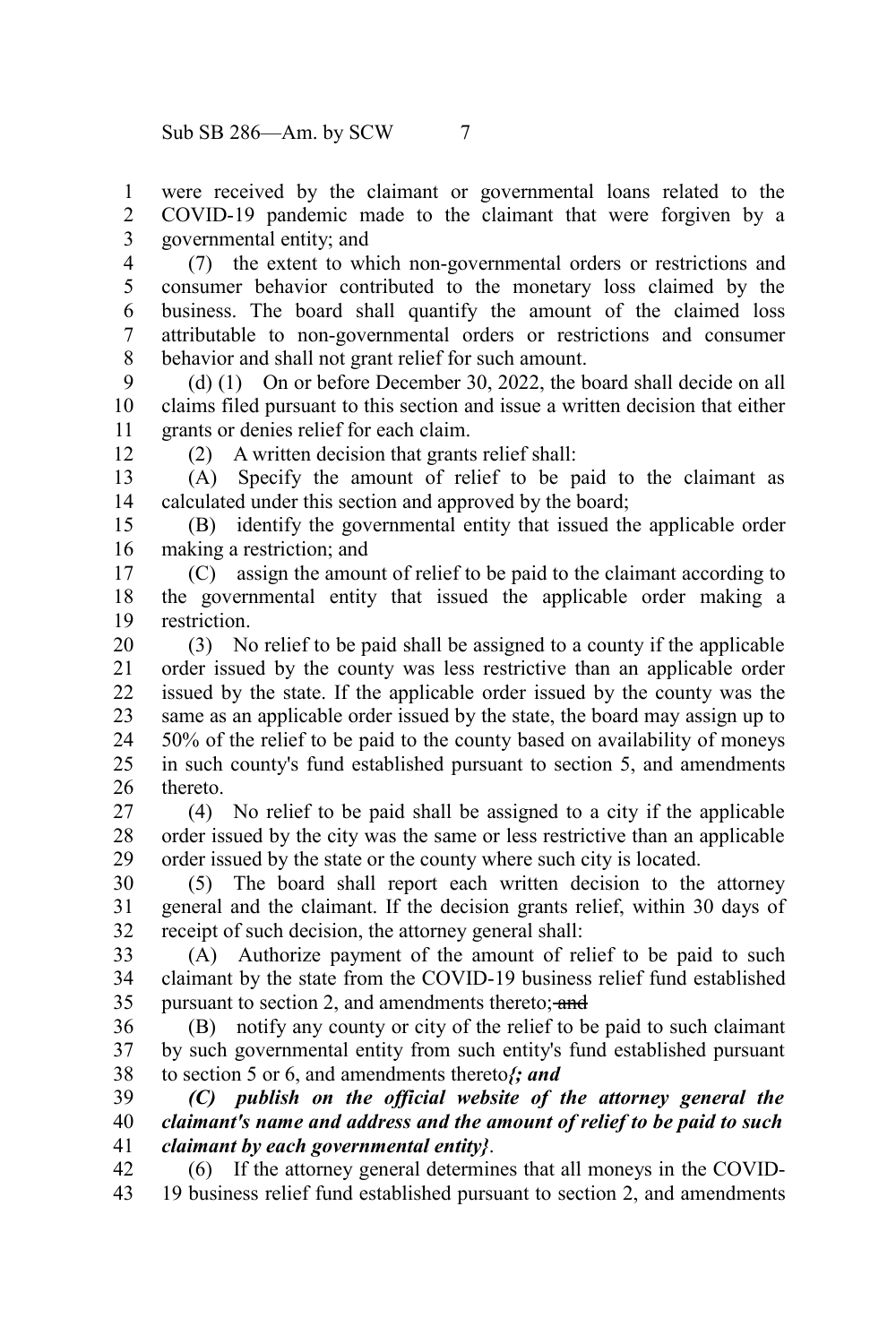were received by the claimant or governmental loans related to the COVID-19 pandemic made to the claimant that were forgiven by a governmental entity; and 1 2 3

(7) the extent to which non-governmental orders or restrictions and consumer behavior contributed to the monetary loss claimed by the business. The board shall quantify the amount of the claimed loss attributable to non-governmental orders or restrictions and consumer behavior and shall not grant relief for such amount. 4 5 6 7 8

(d) (1) On or before December 30, 2022, the board shall decide on all claims filed pursuant to this section and issue a written decision that either grants or denies relief for each claim.  $\mathbf{Q}$ 10 11

12

(2) A written decision that grants relief shall:

(A) Specify the amount of relief to be paid to the claimant as calculated under this section and approved by the board; 13 14

(B) identify the governmental entity that issued the applicable order making a restriction; and 15 16

(C) assign the amount of relief to be paid to the claimant according to the governmental entity that issued the applicable order making a restriction. 17 18 19

(3) No relief to be paid shall be assigned to a county if the applicable order issued by the county was less restrictive than an applicable order issued by the state. If the applicable order issued by the county was the same as an applicable order issued by the state, the board may assign up to 50% of the relief to be paid to the county based on availability of moneys in such county's fund established pursuant to section 5, and amendments thereto. 20 21 22 23 24 25 26

(4) No relief to be paid shall be assigned to a city if the applicable order issued by the city was the same or less restrictive than an applicable order issued by the state or the county where such city is located. 27 28 29

(5) The board shall report each written decision to the attorney general and the claimant. If the decision grants relief, within 30 days of receipt of such decision, the attorney general shall: 30 31 32

(A) Authorize payment of the amount of relief to be paid to such claimant by the state from the COVID-19 business relief fund established pursuant to section 2, and amendments thereto; and 33 34 35

(B) notify any county or city of the relief to be paid to such claimant by such governmental entity from such entity's fund established pursuant to section 5 or 6, and amendments thereto*{; and* 36 37 38

*(C) publish on the official website of the attorney general the claimant's name and address and the amount of relief to be paid to such claimant by each governmental entity}*. 39 40 41

(6) If the attorney general determines that all moneys in the COVID-19 business relief fund established pursuant to section 2, and amendments 42 43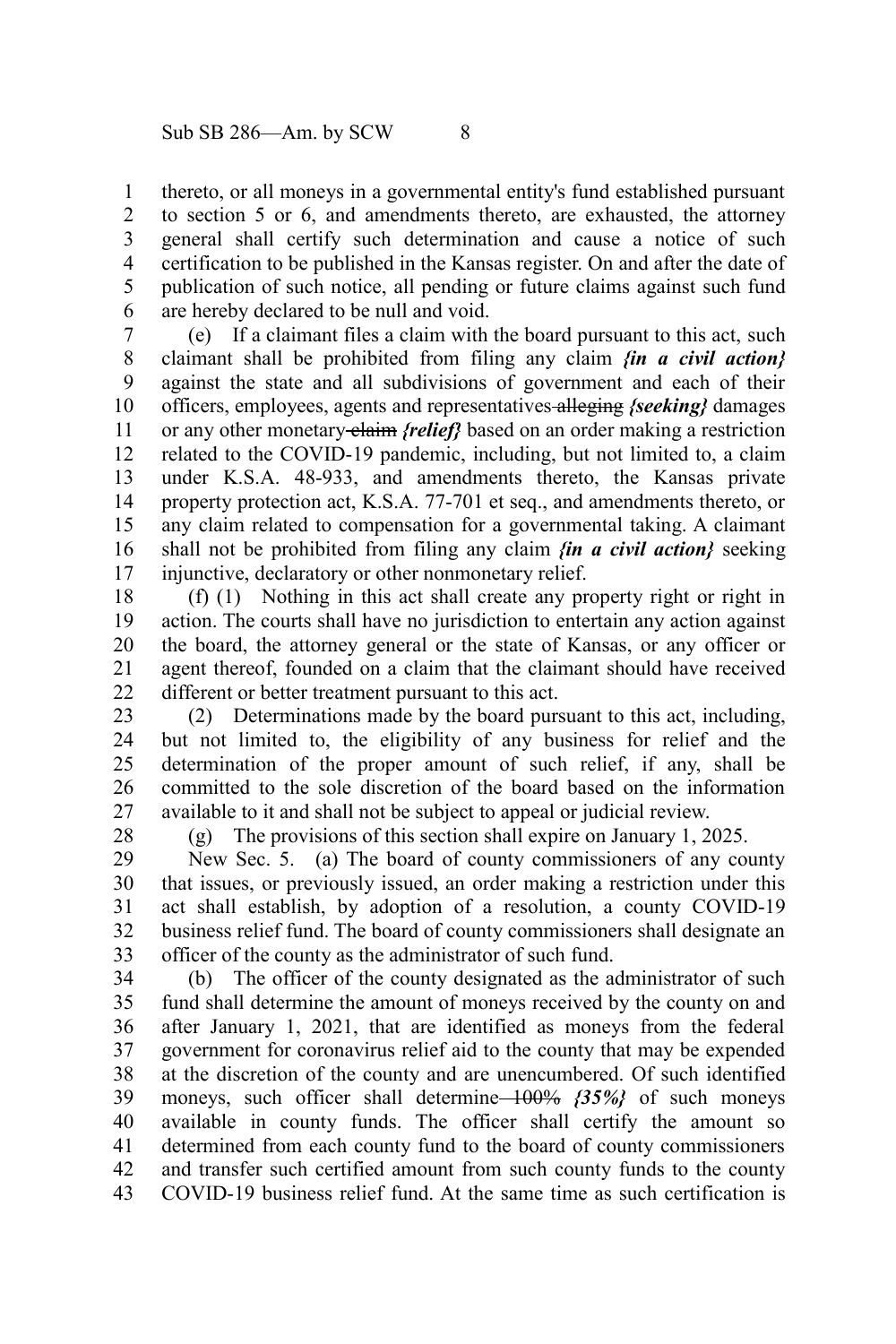thereto, or all moneys in a governmental entity's fund established pursuant to section 5 or 6, and amendments thereto, are exhausted, the attorney general shall certify such determination and cause a notice of such certification to be published in the Kansas register. On and after the date of publication of such notice, all pending or future claims against such fund are hereby declared to be null and void. 1 2 3 4 5 6

(e) If a claimant files a claim with the board pursuant to this act, such claimant shall be prohibited from filing any claim *{in a civil action}* against the state and all subdivisions of government and each of their officers, employees, agents and representatives alleging *{seeking}* damages or any other monetary claim *{relief}* based on an order making a restriction related to the COVID-19 pandemic, including, but not limited to, a claim under K.S.A. 48-933, and amendments thereto, the Kansas private property protection act, K.S.A. 77-701 et seq., and amendments thereto, or any claim related to compensation for a governmental taking. A claimant shall not be prohibited from filing any claim *{in a civil action}* seeking injunctive, declaratory or other nonmonetary relief. 7 8 9 10 11 12 13 14 15 16 17

(f) (1) Nothing in this act shall create any property right or right in action. The courts shall have no jurisdiction to entertain any action against the board, the attorney general or the state of Kansas, or any officer or agent thereof, founded on a claim that the claimant should have received different or better treatment pursuant to this act. 18 19 20 21 22

(2) Determinations made by the board pursuant to this act, including, but not limited to, the eligibility of any business for relief and the determination of the proper amount of such relief, if any, shall be committed to the sole discretion of the board based on the information available to it and shall not be subject to appeal or judicial review. 23 24 25 26 27

28

(g) The provisions of this section shall expire on January 1, 2025.

New Sec. 5. (a) The board of county commissioners of any county that issues, or previously issued, an order making a restriction under this act shall establish, by adoption of a resolution, a county COVID-19 business relief fund. The board of county commissioners shall designate an officer of the county as the administrator of such fund. 29 30 31 32 33

(b) The officer of the county designated as the administrator of such fund shall determine the amount of moneys received by the county on and after January 1, 2021, that are identified as moneys from the federal government for coronavirus relief aid to the county that may be expended at the discretion of the county and are unencumbered. Of such identified moneys, such officer shall determine 100% *{35%}* of such moneys available in county funds. The officer shall certify the amount so determined from each county fund to the board of county commissioners and transfer such certified amount from such county funds to the county COVID-19 business relief fund. At the same time as such certification is 34 35 36 37 38 39 40 41 42 43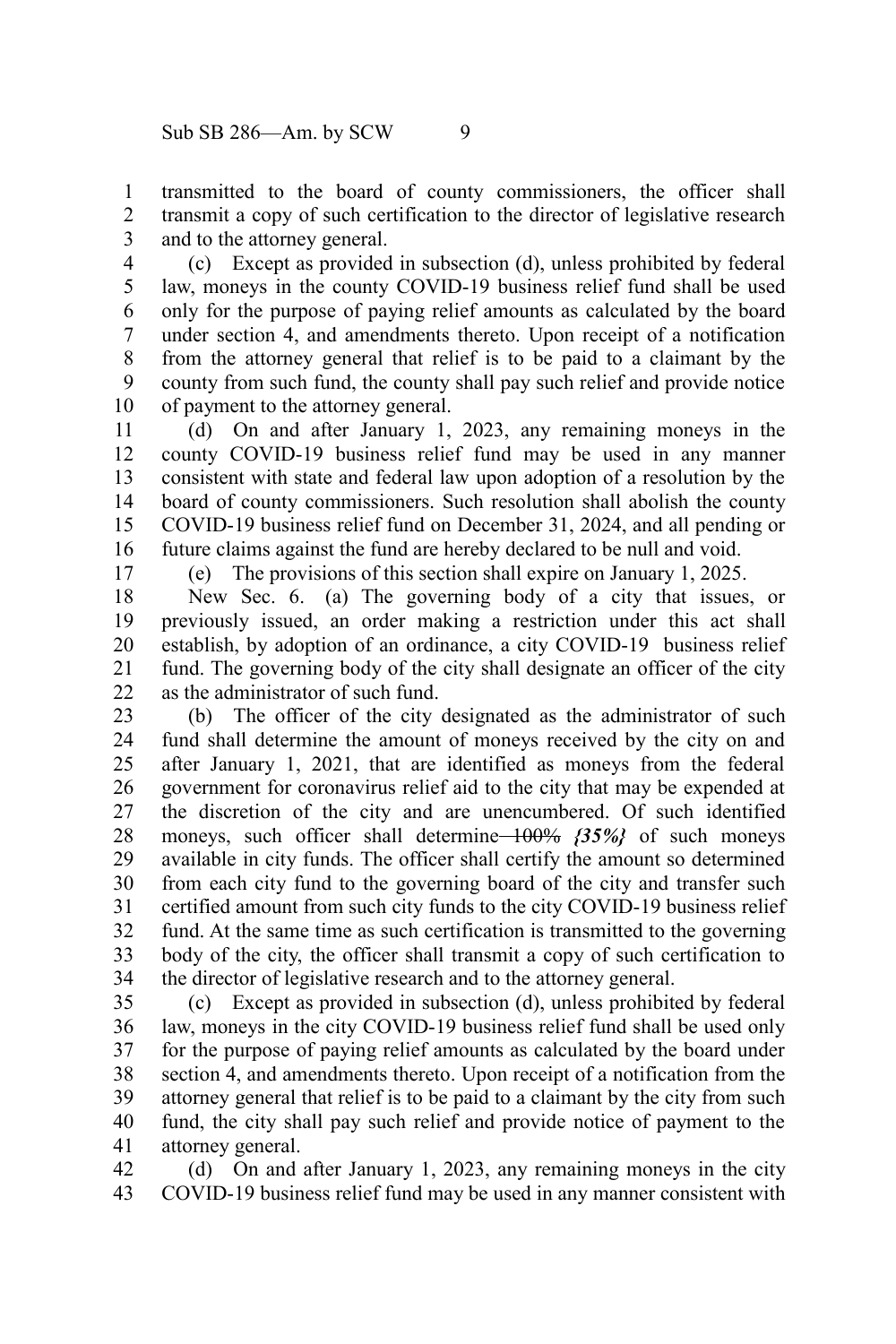transmitted to the board of county commissioners, the officer shall transmit a copy of such certification to the director of legislative research and to the attorney general. 1 2 3

(c) Except as provided in subsection (d), unless prohibited by federal law, moneys in the county COVID-19 business relief fund shall be used only for the purpose of paying relief amounts as calculated by the board under section 4, and amendments thereto. Upon receipt of a notification from the attorney general that relief is to be paid to a claimant by the county from such fund, the county shall pay such relief and provide notice of payment to the attorney general. 4 5 6 7 8 9 10

(d) On and after January 1, 2023, any remaining moneys in the county COVID-19 business relief fund may be used in any manner consistent with state and federal law upon adoption of a resolution by the board of county commissioners. Such resolution shall abolish the county COVID-19 business relief fund on December 31, 2024, and all pending or future claims against the fund are hereby declared to be null and void. 11 12 13 14 15 16

17

(e) The provisions of this section shall expire on January 1, 2025.

New Sec. 6. (a) The governing body of a city that issues, or previously issued, an order making a restriction under this act shall establish, by adoption of an ordinance, a city COVID-19 business relief fund. The governing body of the city shall designate an officer of the city as the administrator of such fund. 18 19 20 21 22

(b) The officer of the city designated as the administrator of such fund shall determine the amount of moneys received by the city on and after January 1, 2021, that are identified as moneys from the federal government for coronavirus relief aid to the city that may be expended at the discretion of the city and are unencumbered. Of such identified moneys, such officer shall determine 100% *{35%}* of such moneys available in city funds. The officer shall certify the amount so determined from each city fund to the governing board of the city and transfer such certified amount from such city funds to the city COVID-19 business relief fund. At the same time as such certification is transmitted to the governing body of the city, the officer shall transmit a copy of such certification to the director of legislative research and to the attorney general. 23 24 25 26 27 28 29 30 31 32 33 34

(c) Except as provided in subsection (d), unless prohibited by federal law, moneys in the city COVID-19 business relief fund shall be used only for the purpose of paying relief amounts as calculated by the board under section 4, and amendments thereto. Upon receipt of a notification from the attorney general that relief is to be paid to a claimant by the city from such fund, the city shall pay such relief and provide notice of payment to the attorney general. 35 36 37 38 39 40 41

(d) On and after January 1, 2023, any remaining moneys in the city COVID-19 business relief fund may be used in any manner consistent with 42 43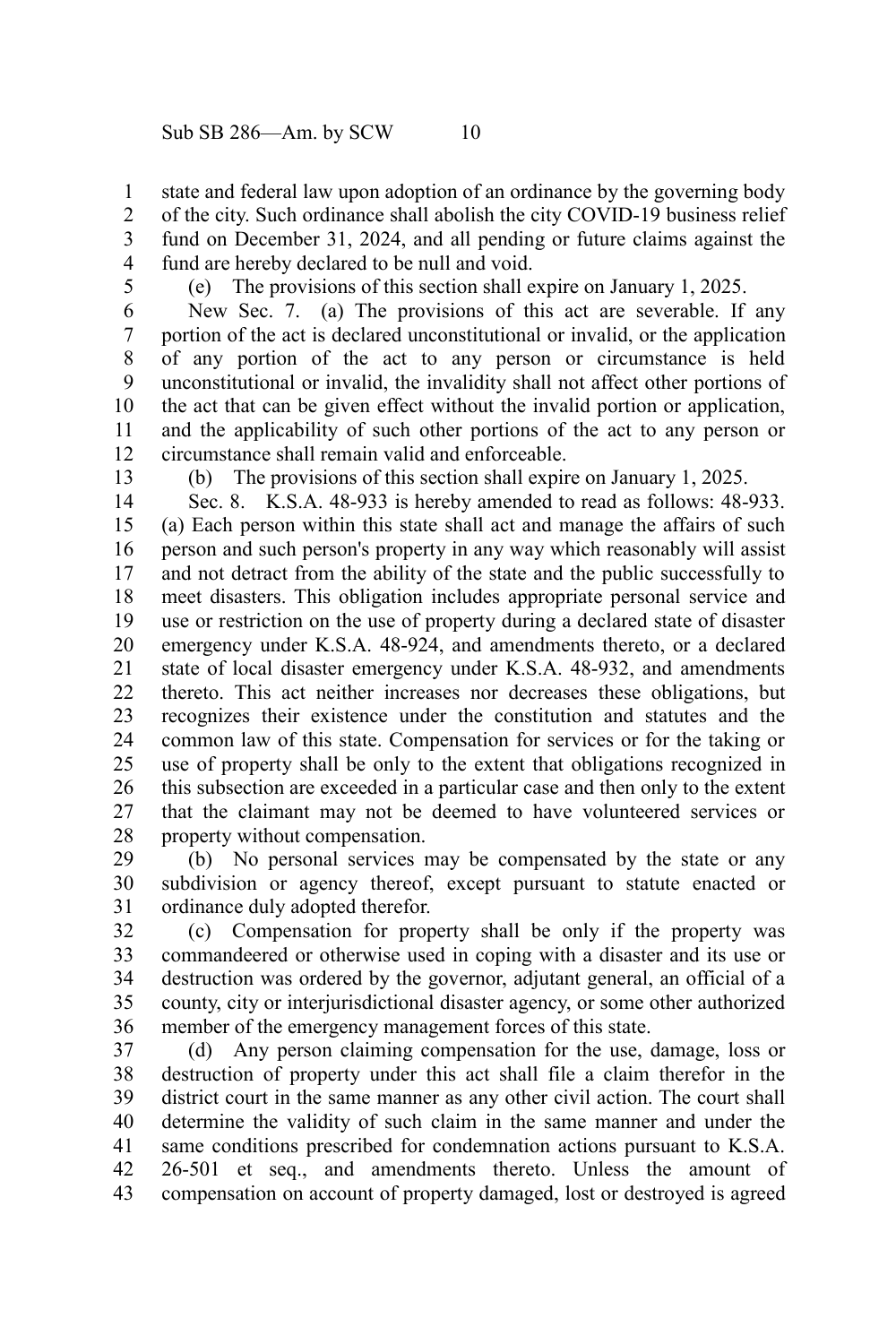state and federal law upon adoption of an ordinance by the governing body 1

of the city. Such ordinance shall abolish the city COVID-19 business relief fund on December 31, 2024, and all pending or future claims against the fund are hereby declared to be null and void. 2 3 4

5

(e) The provisions of this section shall expire on January 1, 2025.

New Sec. 7. (a) The provisions of this act are severable. If any portion of the act is declared unconstitutional or invalid, or the application of any portion of the act to any person or circumstance is held unconstitutional or invalid, the invalidity shall not affect other portions of the act that can be given effect without the invalid portion or application, and the applicability of such other portions of the act to any person or circumstance shall remain valid and enforceable. 6 7 8 9 10 11 12

13

(b) The provisions of this section shall expire on January 1, 2025.

Sec. 8. K.S.A. 48-933 is hereby amended to read as follows: 48-933. (a) Each person within this state shall act and manage the affairs of such person and such person's property in any way which reasonably will assist and not detract from the ability of the state and the public successfully to meet disasters. This obligation includes appropriate personal service and use or restriction on the use of property during a declared state of disaster emergency under K.S.A. 48-924, and amendments thereto, or a declared state of local disaster emergency under K.S.A. 48-932, and amendments thereto. This act neither increases nor decreases these obligations, but recognizes their existence under the constitution and statutes and the common law of this state. Compensation for services or for the taking or use of property shall be only to the extent that obligations recognized in this subsection are exceeded in a particular case and then only to the extent that the claimant may not be deemed to have volunteered services or property without compensation. 14 15 16 17 18 19 20 21 22 23 24 25 26 27 28

(b) No personal services may be compensated by the state or any subdivision or agency thereof, except pursuant to statute enacted or ordinance duly adopted therefor. 29 30 31

(c) Compensation for property shall be only if the property was commandeered or otherwise used in coping with a disaster and its use or destruction was ordered by the governor, adjutant general, an official of a county, city or interjurisdictional disaster agency, or some other authorized member of the emergency management forces of this state. 32 33 34 35 36

(d) Any person claiming compensation for the use, damage, loss or destruction of property under this act shall file a claim therefor in the district court in the same manner as any other civil action. The court shall determine the validity of such claim in the same manner and under the same conditions prescribed for condemnation actions pursuant to K.S.A. 26-501 et seq., and amendments thereto. Unless the amount of compensation on account of property damaged, lost or destroyed is agreed 37 38 39 40 41 42 43